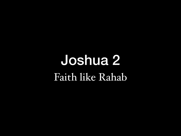## Joshua 2 Faith like Rahab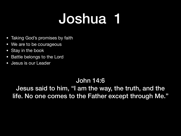## Joshua 1

- Taking God's promises by faith
- We are to be courageous
- Stay in the book
- Battle belongs to the Lord
- Jesus is our Leader

### John 14:6

Jesus said to him, "I am the way, the truth, and the life. No one comes to the Father except through Me."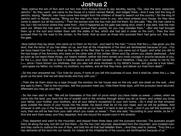#### Joshua 2

1 Now Joshua the son of Nun sent out two men from Acacia Grove to spy secretly, saying, "Go, view the land, especially Jericho." So they went, and came to the house of a harlot named Rahab, and lodged there. 2 And it was told the king of Jericho, saying, "Behold, men have come here tonight from the children of Israel to search out the country." So the king of Jericho sent to Rahab, saying, "Bring out the men who have come to you, who have entered your house, for they have come to search out all the country."4Then the woman took the two men and hid them. So she said, "Yes, the men came to me, but I did not know where they *were* from. 5And it happened as the gate was being shut, when it was dark, that the men went out. Where the men went I do not know; pursue them quickly, for you may overtake them." <sup>6</sup> (But she had brought them up to the roof and hidden them with the stalks of flax, which she had laid in order on the roof.)  $_7$  Then the men pursued them by the road to the Jordan, to the fords. And as soon as those who pursued them had gone out, they shut the gate.

8Now before they lay down, she came up to them on the roof, 9 and said to the men: "I know that the L<sub>ORD</sub> has given you the land, that the terror of you has fallen on us, and that all the inhabitants of the land are fainthearted because of you. 10 For we have heard how the L<sub>ORD</sub> dried up the water of the Red Sea for you when you came out of Egypt, and what you did to the two kings of the Amorites who *were* on the other side of the Jordan, Sihon and Og, whom you utterly destroyed. 11And as soon as we heard *these things,* our hearts melted; neither did there remain any more courage in anyone because of you, for the LORD your God, He *is* God in heaven above and on earth beneath. 12 Now therefore, I beg you, swear to me by the L<sub>ORD</sub>, since I have shown you kindness, that you also will show kindness to my father's house, and give me a true token, 13 and spare my father, my mother, my brothers, my sisters, and all that they have, and deliver our lives from death."

14 So the men answered her, "Our lives for yours, if none of you tell this business of ours. And it shall be, when the L<sub>ORD</sub> has given us the land, that we will deal kindly and truly with you."

15 Then she let them down by a rope through the window, for her house was on the city wall; she dwelt on the wall. 16 And she said to them, "Get to the mountain, lest the pursuers meet you. Hide there three days, until the pursuers have returned. Afterward you may go your way."

<sup>17</sup> So the men said to her: "We *will be* blameless of this oath of yours which you have made us swear, 18 unless, *when* we come into the land, you bind this line of scarlet cord in the window through which you let us down, and unless you bring your father, your mother, your brothers, and all your father's household to your own home. 19 So it shall be *that* whoever goes outside the doors of your house into the street, his blood *shall be* on his own head, and we *will be* guiltless. And whoever is with you in the house, his blood shall be on our head if a hand is laid on him. 20 And if you tell this business of ours, then we will be free from your oath which you made us swear."21 Then she said, "According to your words, so be it." And she sent them away, and they departed. And she bound the scarlet cord in the window.

<sub>22</sub> They departed and went to the mountain, and stayed there three days until the pursuers returned. The pursuers sought *them* all along the way, but did not find *them.* 23So the two men returned, descended from the mountain, and crossed over; and they came to Joshua the son of Nun, and told him all that had befallen them. 24 And they said to Joshua, "Truly the LORD has delivered all the land into our hands, for indeed all the inhabitants of the country are fainthearted because of us."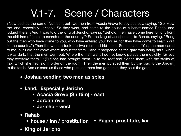## V.1-7. Scene / Characters

1 Now Joshua the son of Nun sent out two men from Acacia Grove to spy secretly, saying, "Go, view the land, especially Jericho." So they went, and came to the house of a harlot named Rahab, and lodged there. 2 And it was told the king of Jericho, saying, "Behold, men have come here tonight from the children of Israel to search out the country."<sup>3</sup> So the king of Jericho sent to Rahab, saying, "Bring out the men who have come to you, who have entered your house, for they have come to search out all the country."4 Then the woman took the two men and hid them. So she said, "Yes, the men came to me, but I did not know where they *were* from. 5 And it happened as the gate was being shut, when it was dark, that the men went out. Where the men went I do not know; pursue them quickly, for you may overtake them." 6 (But she had brought them up to the roof and hidden them with the stalks of flax, which she had laid in order on the roof.)  $_7$  Then the men pursued them by the road to the Jordan, to the fords. And as soon as those who pursued them had gone out, they shut the gate.

- **• Joshua sending two men as spies**
- **• Land. Especially Jericho** 
	- **• Acacia Grove (Shittim) east**
	- **• Jordan river**
	- **• Jericho west**
- **• Rahab** 
	- **• house / inn / prostitution • Pagan, prostitute, liar**
- **• King of Jericho**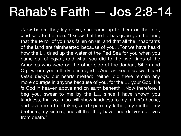## Rahab's Faith — Jos 2:8-14

. Now before they lay down, she came up to them on the roof, . and said to the men: "I know that the L<sub>ORD</sub> has given you the land, that the terror of you has fallen on us, and that all the inhabitants of the land are fainthearted because of you. <sub>10</sub>For we have heard how the L<sub>ord</sub> dried up the water of the Red Sea for you when you came out of Egypt, and what you did to the two kings of the Amorites who *were* on the other side of the Jordan, Sihon and Og, whom you utterly destroyed. <sub>11</sub>And as soon as we heard *these things,* our hearts melted; neither did there remain any more courage in anyone because of you, for the L<sub>ord</sub> your God, He *is* God in heaven above and on earth beneath. **12Now therefore**, I beg you, swear to me by the L<sub>ORD</sub>, since I have shown you kindness, that you also will show kindness to my father's house, and give me a true token, and spare my father, my mother, my brothers, my sisters, and all that they have, and deliver our lives from death."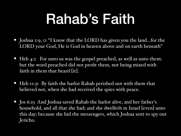# Rahab's Faith

- Joshua 2:9,  $\text{II}$  "I know that the LORD has given you the land...for the LORD your God, He is God in heaven above and on earth beneath"
- Heb 4:2 For unto us was the gospel preached, as well as unto them: but the word preached did not profit them, not being mixed with faith in them that heard [it].
- Heb II:31 By faith the harlot Rahab perished not with them that believed not, when she had received the spies with peace.
- Jos 6:25 And Joshua saved Rahab the harlot alive, and her father's household, and all that she had; and she dwelleth in Israel [even] unto this day; because she hid the messengers, which Joshua sent to spy out Jericho.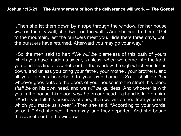**Joshua 1:15-21 The Arrangement of how the deliverance will work —** *The Gospel*

15 Then she let them down by a rope through the window, for her house *was* on the city wall; she dwelt on the wall. 16And she said to them, "Get to the mountain, lest the pursuers meet you. Hide there three days, until the pursuers have returned. Afterward you may go your way."

<sup>17</sup> So the men said to her: "We *will be* blameless of this oath of yours which you have made us swear, 18 unless, *when* we come into the land, you bind this line of scarlet cord in the window through which you let us down, and unless you bring your father, your mother, your brothers, and all your father's household to your own home. 19 So it shall be *that* whoever goes outside the doors of your house into the street, his blood *shall be* on his own head, and we *will be* guiltless. And whoever is with you in the house, his blood *shall be* on our head if a hand is laid on him. 20 And if you tell this business of ours, then we will be free from your oath which you made us swear."<sup>21</sup> Then she said, "According to your words, so *be* it." And she sent them away, and they departed. And she bound the scarlet cord in the window.